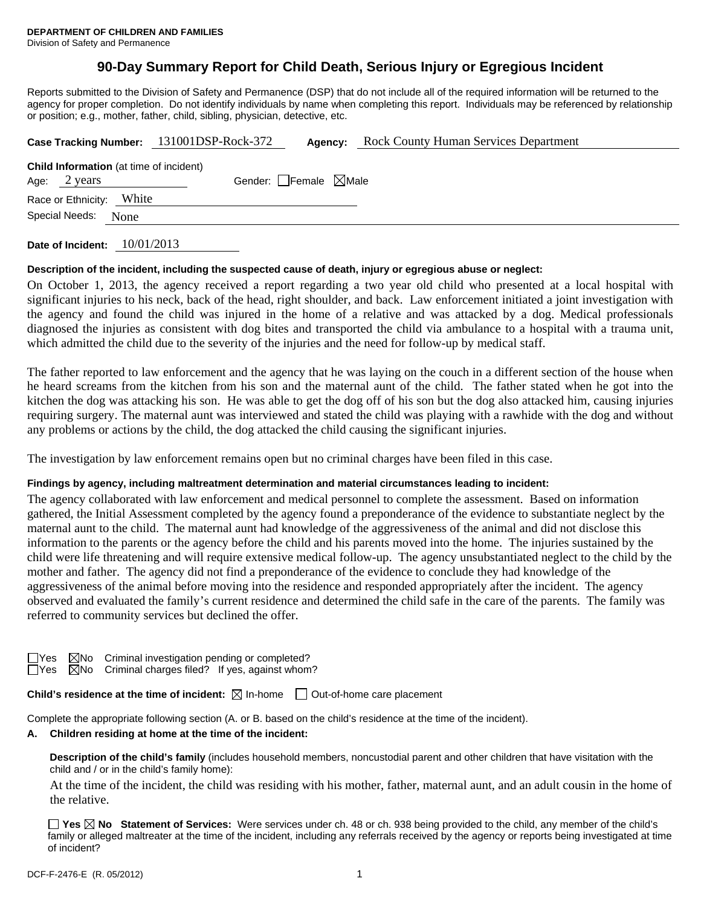# **90-Day Summary Report for Child Death, Serious Injury or Egregious Incident**

Reports submitted to the Division of Safety and Permanence (DSP) that do not include all of the required information will be returned to the agency for proper completion. Do not identify individuals by name when completing this report. Individuals may be referenced by relationship or position; e.g., mother, father, child, sibling, physician, detective, etc.

|                                                |       | Case Tracking Number: 131001DSP-Rock-372 | Agency: | <b>Rock County Human Services Department</b> |  |  |
|------------------------------------------------|-------|------------------------------------------|---------|----------------------------------------------|--|--|
| <b>Child Information</b> (at time of incident) |       |                                          |         |                                              |  |  |
| Age: $2 \text{ years}$                         |       | Gender: Female $\boxtimes$ Male          |         |                                              |  |  |
| Race or Ethnicity:                             | White |                                          |         |                                              |  |  |
| Special Needs:<br>None                         |       |                                          |         |                                              |  |  |
|                                                |       |                                          |         |                                              |  |  |

**Date of Incident:** 10/01/2013

#### **Description of the incident, including the suspected cause of death, injury or egregious abuse or neglect:**

On October 1, 2013, the agency received a report regarding a two year old child who presented at a local hospital with significant injuries to his neck, back of the head, right shoulder, and back. Law enforcement initiated a joint investigation with the agency and found the child was injured in the home of a relative and was attacked by a dog. Medical professionals diagnosed the injuries as consistent with dog bites and transported the child via ambulance to a hospital with a trauma unit, which admitted the child due to the severity of the injuries and the need for follow-up by medical staff.

The father reported to law enforcement and the agency that he was laying on the couch in a different section of the house when he heard screams from the kitchen from his son and the maternal aunt of the child. The father stated when he got into the kitchen the dog was attacking his son. He was able to get the dog off of his son but the dog also attacked him, causing injuries requiring surgery. The maternal aunt was interviewed and stated the child was playing with a rawhide with the dog and without any problems or actions by the child, the dog attacked the child causing the significant injuries.

The investigation by law enforcement remains open but no criminal charges have been filed in this case.

#### **Findings by agency, including maltreatment determination and material circumstances leading to incident:**

The agency collaborated with law enforcement and medical personnel to complete the assessment. Based on information gathered, the Initial Assessment completed by the agency found a preponderance of the evidence to substantiate neglect by the maternal aunt to the child. The maternal aunt had knowledge of the aggressiveness of the animal and did not disclose this information to the parents or the agency before the child and his parents moved into the home. The injuries sustained by the child were life threatening and will require extensive medical follow-up. The agency unsubstantiated neglect to the child by the mother and father. The agency did not find a preponderance of the evidence to conclude they had knowledge of the aggressiveness of the animal before moving into the residence and responded appropriately after the incident. The agency observed and evaluated the family's current residence and determined the child safe in the care of the parents. The family was referred to community services but declined the offer.

| ×<br>I |  |
|--------|--|
|        |  |

 $\boxtimes$ No Criminal investigation pending or completed?  $\boxtimes$ No Criminal charges filed? If yes, against whom?

**Child's residence at the time of incident:**  $\boxtimes$  In-home  $\Box$  Out-of-home care placement

Complete the appropriate following section (A. or B. based on the child's residence at the time of the incident).

## **A. Children residing at home at the time of the incident:**

**Description of the child's family** (includes household members, noncustodial parent and other children that have visitation with the child and / or in the child's family home):

 At the time of the incident, the child was residing with his mother, father, maternal aunt, and an adult cousin in the home of the relative.

**Yes No Statement of Services:** Were services under ch. 48 or ch. 938 being provided to the child, any member of the child's family or alleged maltreater at the time of the incident, including any referrals received by the agency or reports being investigated at time of incident?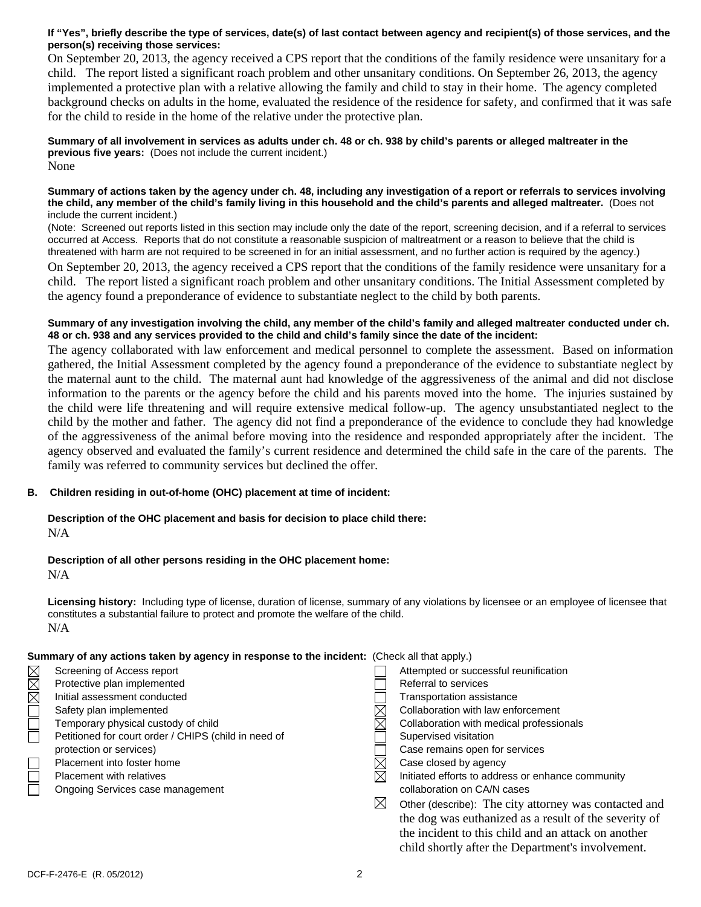## **If "Yes", briefly describe the type of services, date(s) of last contact between agency and recipient(s) of those services, and the person(s) receiving those services:**

On September 20, 2013, the agency received a CPS report that the conditions of the family residence were unsanitary for a child. The report listed a significant roach problem and other unsanitary conditions. On September 26, 2013, the agency implemented a protective plan with a relative allowing the family and child to stay in their home. The agency completed background checks on adults in the home, evaluated the residence of the residence for safety, and confirmed that it was safe for the child to reside in the home of the relative under the protective plan.

**Summary of all involvement in services as adults under ch. 48 or ch. 938 by child's parents or alleged maltreater in the previous five years:** (Does not include the current incident.) None

#### **Summary of actions taken by the agency under ch. 48, including any investigation of a report or referrals to services involving the child, any member of the child's family living in this household and the child's parents and alleged maltreater.** (Does not include the current incident.)

(Note: Screened out reports listed in this section may include only the date of the report, screening decision, and if a referral to services occurred at Access. Reports that do not constitute a reasonable suspicion of maltreatment or a reason to believe that the child is threatened with harm are not required to be screened in for an initial assessment, and no further action is required by the agency.)

On September 20, 2013, the agency received a CPS report that the conditions of the family residence were unsanitary for a child. The report listed a significant roach problem and other unsanitary conditions. The Initial Assessment completed by the agency found a preponderance of evidence to substantiate neglect to the child by both parents.

#### **Summary of any investigation involving the child, any member of the child's family and alleged maltreater conducted under ch. 48 or ch. 938 and any services provided to the child and child's family since the date of the incident:**

The agency collaborated with law enforcement and medical personnel to complete the assessment. Based on information gathered, the Initial Assessment completed by the agency found a preponderance of the evidence to substantiate neglect by the maternal aunt to the child. The maternal aunt had knowledge of the aggressiveness of the animal and did not disclose information to the parents or the agency before the child and his parents moved into the home. The injuries sustained by the child were life threatening and will require extensive medical follow-up. The agency unsubstantiated neglect to the child by the mother and father. The agency did not find a preponderance of the evidence to conclude they had knowledge of the aggressiveness of the animal before moving into the residence and responded appropriately after the incident. The agency observed and evaluated the family's current residence and determined the child safe in the care of the parents. The family was referred to community services but declined the offer.

## **B. Children residing in out-of-home (OHC) placement at time of incident:**

## **Description of the OHC placement and basis for decision to place child there:** N/A

## **Description of all other persons residing in the OHC placement home:**

N/A

**Licensing history:** Including type of license, duration of license, summary of any violations by licensee or an employee of licensee that constitutes a substantial failure to protect and promote the welfare of the child. N/A

## **Summary of any actions taken by agency in response to the incident:** (Check all that apply.)

|                    | Screening of Access report                           |             | Attempted or successful reunification                 |
|--------------------|------------------------------------------------------|-------------|-------------------------------------------------------|
| $\square$ $\times$ | Protective plan implemented                          |             | Referral to services                                  |
|                    | Initial assessment conducted                         |             | <b>Transportation assistance</b>                      |
|                    | Safety plan implemented                              |             | Collaboration with law enforcement                    |
| Ē                  | Temporary physical custody of child                  |             | Collaboration with medical professionals              |
|                    | Petitioned for court order / CHIPS (child in need of |             | Supervised visitation                                 |
|                    | protection or services)                              |             | Case remains open for services                        |
|                    | Placement into foster home                           |             | Case closed by agency                                 |
|                    | <b>Placement with relatives</b>                      |             | Initiated efforts to address or enhance community     |
|                    | Ongoing Services case management                     |             | collaboration on CA/N cases                           |
|                    |                                                      | $\boxtimes$ | Other (describe): The city attorney was contacted and |
|                    |                                                      |             | the dog was euthanized as a result of the severity of |
|                    |                                                      |             | the incident to this child and an attack on another   |
|                    |                                                      |             | child shortly after the Department's involvement.     |